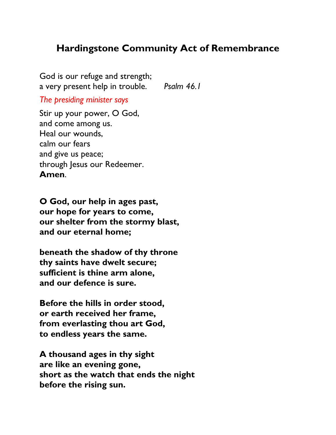# **Hardingstone Community Act of Remembrance**

God is our refuge and strength; a very present help in trouble. *Psalm 46.1*

*The presiding minister says*

Stir up your power, O God, and come among us. Heal our wounds, calm our fears and give us peace; through Jesus our Redeemer. **Amen**.

**O God, our help in ages past, our hope for years to come, our shelter from the stormy blast, and our eternal home;**

**beneath the shadow of thy throne thy saints have dwelt secure; sufficient is thine arm alone, and our defence is sure.**

**Before the hills in order stood, or earth received her frame, from everlasting thou art God, to endless years the same.**

**A thousand ages in thy sight are like an evening gone, short as the watch that ends the night before the rising sun.**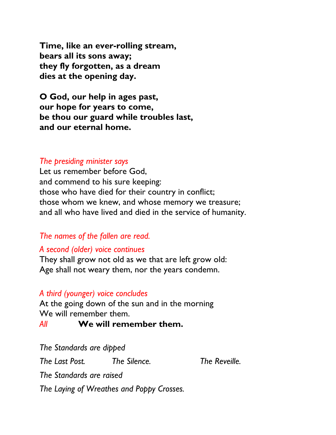**Time, like an ever-rolling stream, bears all its sons away; they fly forgotten, as a dream dies at the opening day.**

**O God, our help in ages past, our hope for years to come, be thou our guard while troubles last, and our eternal home.**

#### *The presiding minister says*

Let us remember before God, and commend to his sure keeping: those who have died for their country in conflict; those whom we knew, and whose memory we treasure; and all who have lived and died in the service of humanity.

### *The names of the fallen are read.*

### *A second (older) voice continues*

They shall grow not old as we that are left grow old: Age shall not weary them, nor the years condemn.

### *A third (younger) voice concludes*

At the going down of the sun and in the morning We will remember them.

### *All* **We will remember them.**

*The Standards are dipped The Last Post. The Silence. The Reveille. The Standards are raised The Laying of Wreathes and Poppy Crosses.*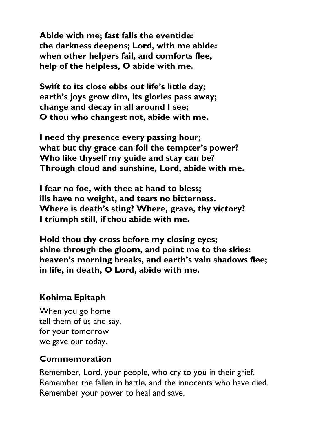**Abide with me; fast falls the eventide: the darkness deepens; Lord, with me abide: when other helpers fail, and comforts flee, help of the helpless, O abide with me.**

**Swift to its close ebbs out life's little day; earth's joys grow dim, its glories pass away; change and decay in all around I see; O thou who changest not, abide with me.**

**I need thy presence every passing hour; what but thy grace can foil the tempter's power? Who like thyself my guide and stay can be? Through cloud and sunshine, Lord, abide with me.**

**I fear no foe, with thee at hand to bless; ills have no weight, and tears no bitterness. Where is death's sting? Where, grave, thy victory? I triumph still, if thou abide with me.**

**Hold thou thy cross before my closing eyes; shine through the gloom, and point me to the skies: heaven's morning breaks, and earth's vain shadows flee; in life, in death, O Lord, abide with me.**

# **Kohima Epitaph**

When you go home tell them of us and say, for your tomorrow we gave our today.

# **Commemoration**

Remember, Lord, your people, who cry to you in their grief. Remember the fallen in battle, and the innocents who have died. Remember your power to heal and save.